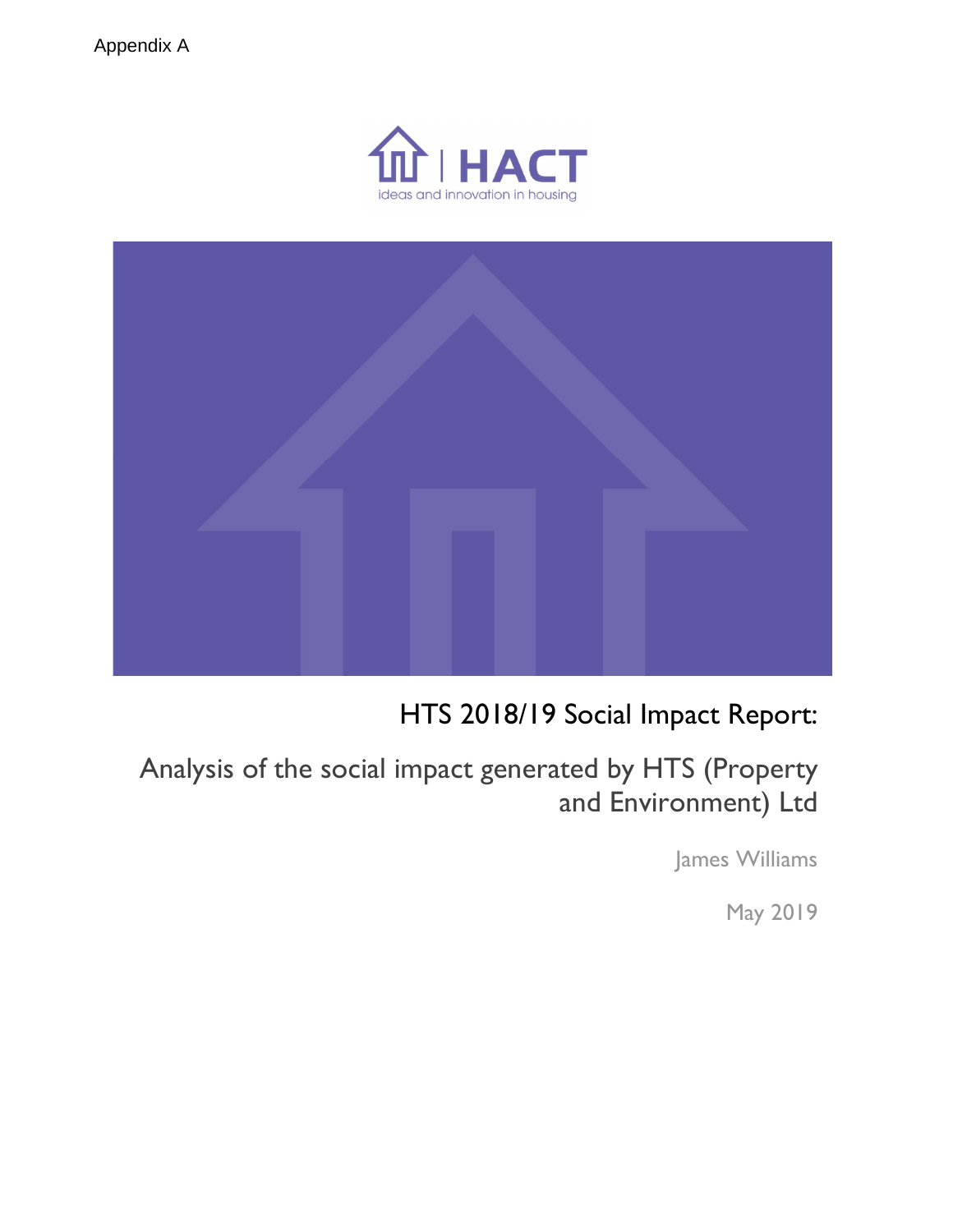



# HTS 2018/19 Social Impact Report:

Analysis of the social impact generated by HTS (Property and Environment) Ltd

James Williams

May 2019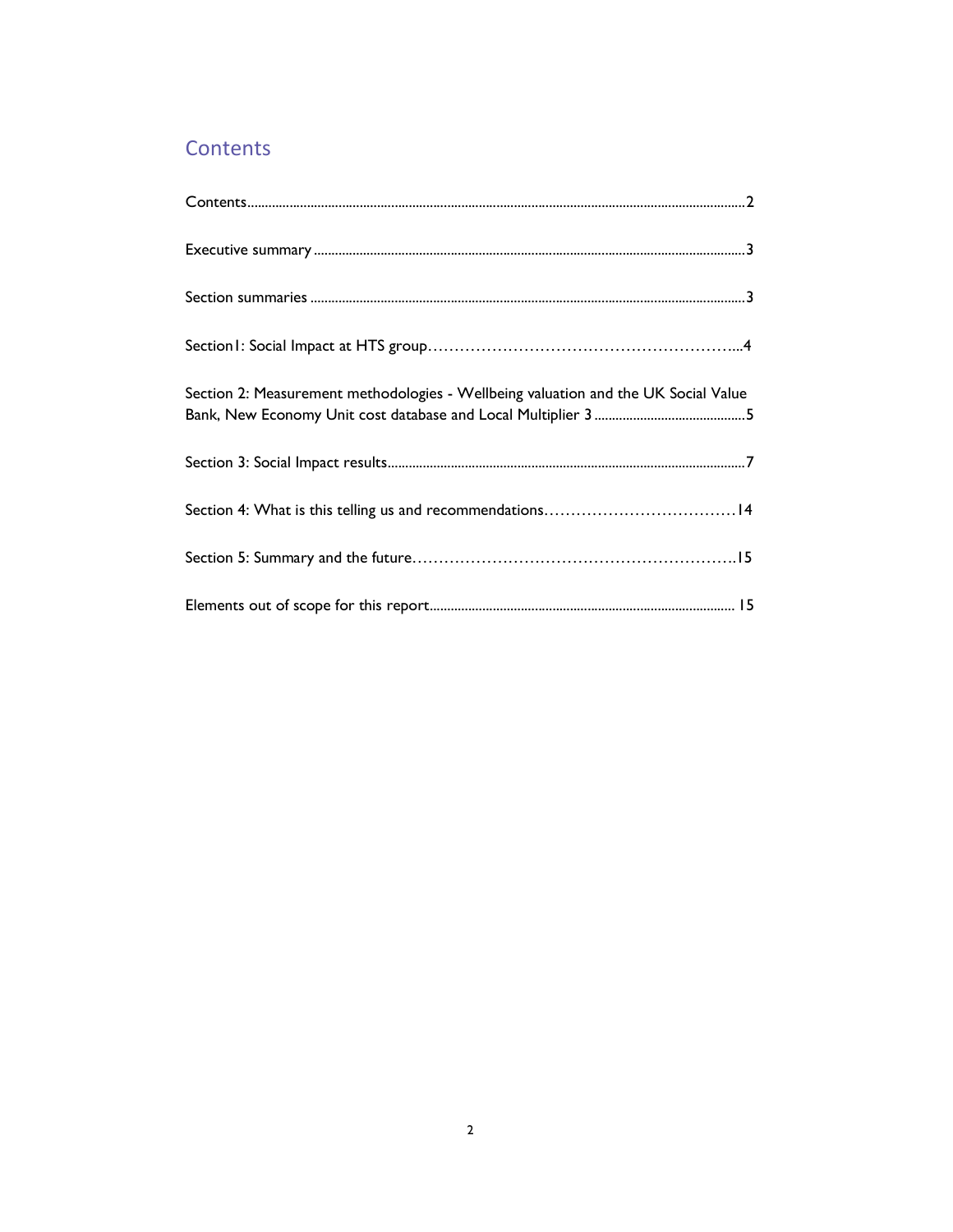# **Contents**

| Section 2: Measurement methodologies - Wellbeing valuation and the UK Social Value |
|------------------------------------------------------------------------------------|
|                                                                                    |
|                                                                                    |
|                                                                                    |
|                                                                                    |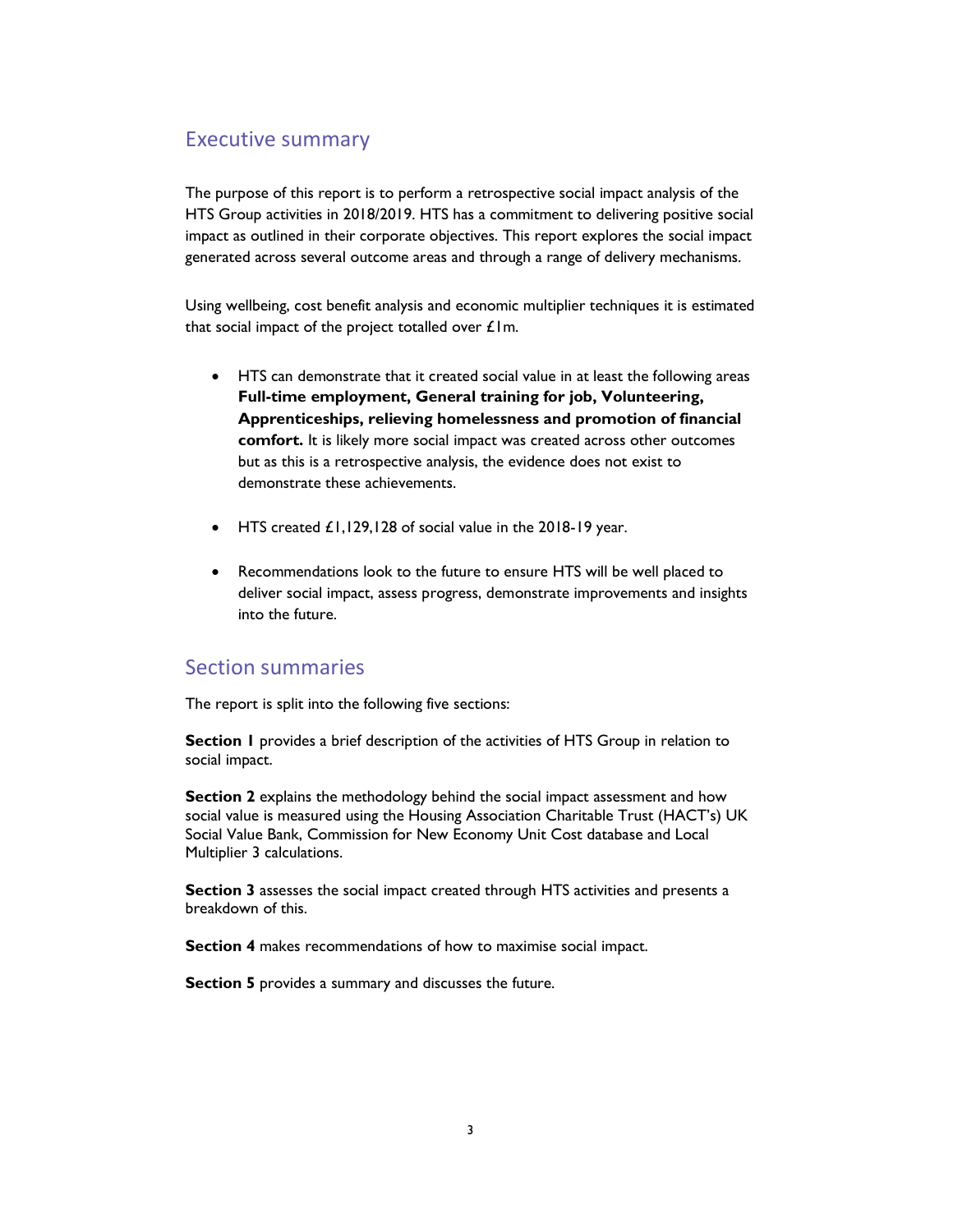# Executive summary

The purpose of this report is to perform a retrospective social impact analysis of the HTS Group activities in 2018/2019. HTS has a commitment to delivering positive social impact as outlined in their corporate objectives. This report explores the social impact generated across several outcome areas and through a range of delivery mechanisms.

Using wellbeing, cost benefit analysis and economic multiplier techniques it is estimated that social impact of the project totalled over  $E1$ m.

- HTS can demonstrate that it created social value in at least the following areas Full-time employment, General training for job, Volunteering, Apprenticeships, relieving homelessness and promotion of financial comfort. It is likely more social impact was created across other outcomes but as this is a retrospective analysis, the evidence does not exist to demonstrate these achievements.
- HTS created £1,129,128 of social value in the 2018-19 year.
- Recommendations look to the future to ensure HTS will be well placed to deliver social impact, assess progress, demonstrate improvements and insights into the future.

# Section summaries

The report is split into the following five sections:

Section 1 provides a brief description of the activities of HTS Group in relation to social impact.

Section 2 explains the methodology behind the social impact assessment and how social value is measured using the Housing Association Charitable Trust (HACT's) UK Social Value Bank, Commission for New Economy Unit Cost database and Local Multiplier 3 calculations.

Section 3 assesses the social impact created through HTS activities and presents a breakdown of this.

Section 4 makes recommendations of how to maximise social impact.

Section 5 provides a summary and discusses the future.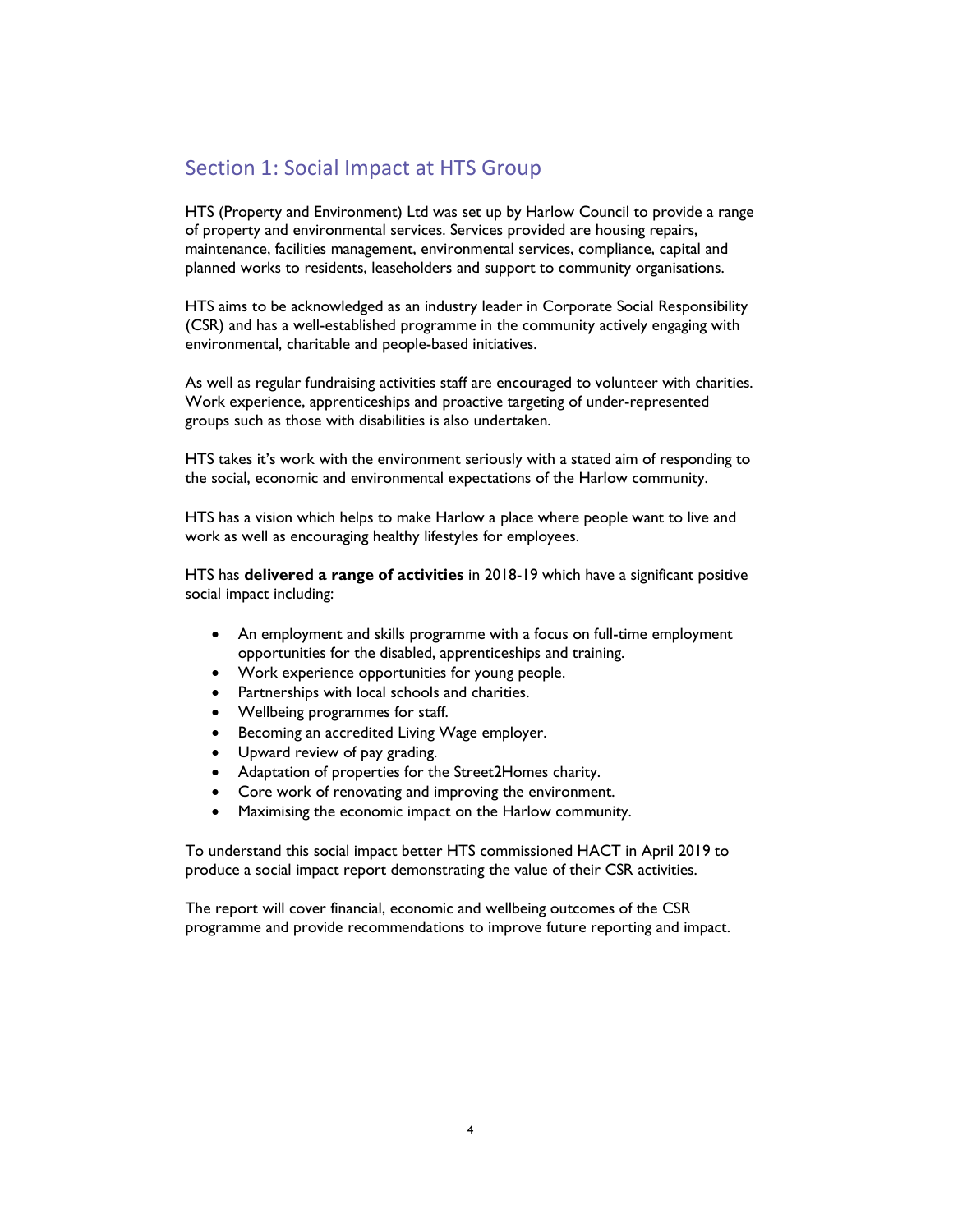# Section 1: Social Impact at HTS Group

HTS (Property and Environment) Ltd was set up by Harlow Council to provide a range of property and environmental services. Services provided are housing repairs, maintenance, facilities management, environmental services, compliance, capital and planned works to residents, leaseholders and support to community organisations.

HTS aims to be acknowledged as an industry leader in Corporate Social Responsibility (CSR) and has a well-established programme in the community actively engaging with environmental, charitable and people-based initiatives.

As well as regular fundraising activities staff are encouraged to volunteer with charities. Work experience, apprenticeships and proactive targeting of under-represented groups such as those with disabilities is also undertaken.

HTS takes it's work with the environment seriously with a stated aim of responding to the social, economic and environmental expectations of the Harlow community.

HTS has a vision which helps to make Harlow a place where people want to live and work as well as encouraging healthy lifestyles for employees.

HTS has delivered a range of activities in 2018-19 which have a significant positive social impact including:

- An employment and skills programme with a focus on full-time employment opportunities for the disabled, apprenticeships and training.
- Work experience opportunities for young people.
- Partnerships with local schools and charities.
- Wellbeing programmes for staff.
- **Becoming an accredited Living Wage employer.**
- Upward review of pay grading.
- Adaptation of properties for the Street2Homes charity.
- Core work of renovating and improving the environment.
- Maximising the economic impact on the Harlow community.

To understand this social impact better HTS commissioned HACT in April 2019 to produce a social impact report demonstrating the value of their CSR activities.

The report will cover financial, economic and wellbeing outcomes of the CSR programme and provide recommendations to improve future reporting and impact.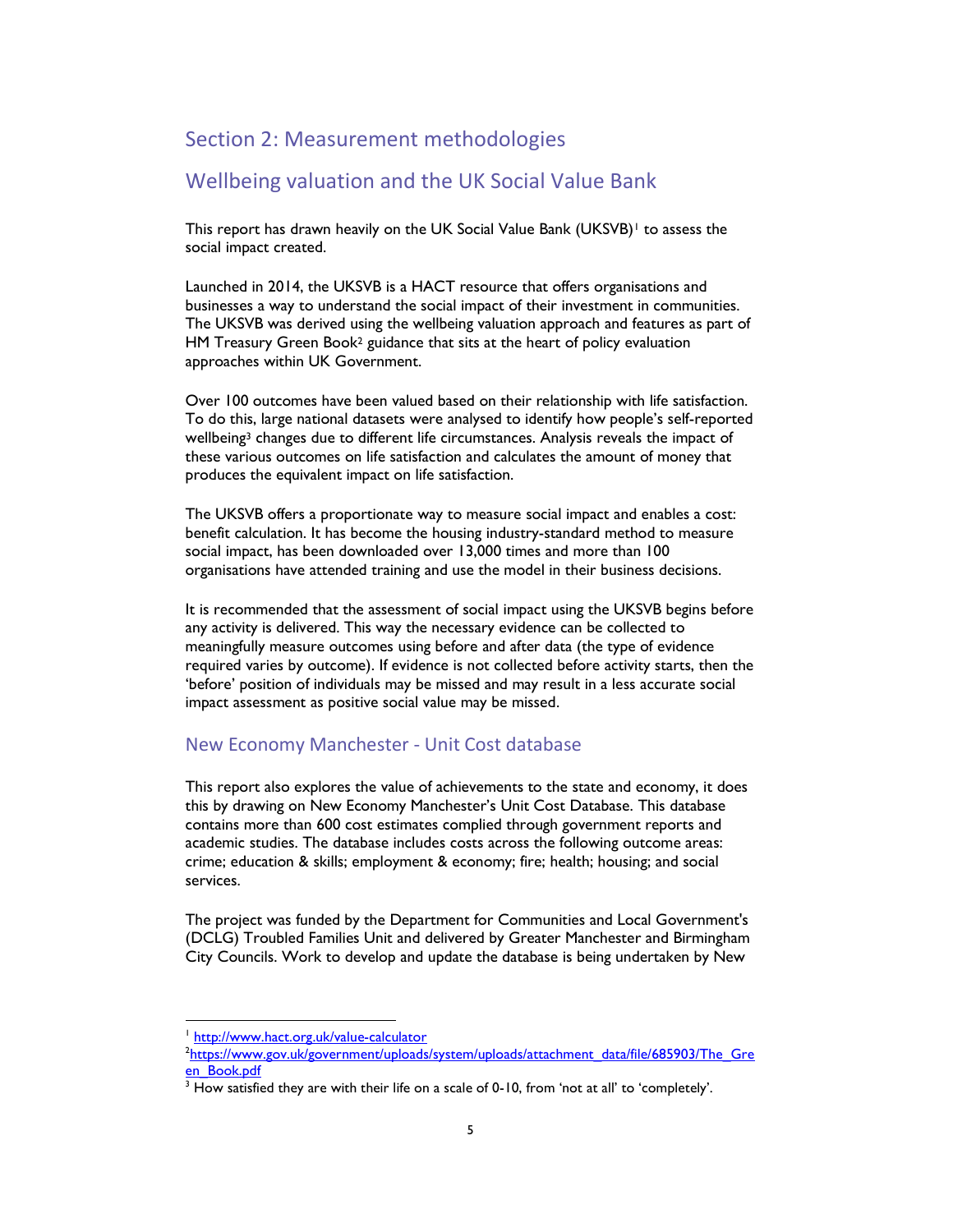### Section 2: Measurement methodologies

## Wellbeing valuation and the UK Social Value Bank

This report has drawn heavily on the UK Social Value Bank (UKSVB)<sup>1</sup> to assess the social impact created.

Launched in 2014, the UKSVB is a HACT resource that offers organisations and businesses a way to understand the social impact of their investment in communities. The UKSVB was derived using the wellbeing valuation approach and features as part of HM Treasury Green Book<sup>2</sup> guidance that sits at the heart of policy evaluation approaches within UK Government.

Over 100 outcomes have been valued based on their relationship with life satisfaction. To do this, large national datasets were analysed to identify how people's self-reported wellbeing<sup>3</sup> changes due to different life circumstances. Analysis reveals the impact of these various outcomes on life satisfaction and calculates the amount of money that produces the equivalent impact on life satisfaction.

The UKSVB offers a proportionate way to measure social impact and enables a cost: benefit calculation. It has become the housing industry-standard method to measure social impact, has been downloaded over 13,000 times and more than 100 organisations have attended training and use the model in their business decisions.

It is recommended that the assessment of social impact using the UKSVB begins before any activity is delivered. This way the necessary evidence can be collected to meaningfully measure outcomes using before and after data (the type of evidence required varies by outcome). If evidence is not collected before activity starts, then the 'before' position of individuals may be missed and may result in a less accurate social impact assessment as positive social value may be missed.

#### New Economy Manchester - Unit Cost database

This report also explores the value of achievements to the state and economy, it does this by drawing on New Economy Manchester's Unit Cost Database. This database contains more than 600 cost estimates complied through government reports and academic studies. The database includes costs across the following outcome areas: crime; education & skills; employment & economy; fire; health; housing; and social services.

The project was funded by the Department for Communities and Local Government's (DCLG) Troubled Families Unit and delivered by Greater Manchester and Birmingham City Councils. Work to develop and update the database is being undertaken by New

-

<sup>&</sup>lt;sup>1</sup> http://www.hact.org.uk/value-calculator

<sup>&</sup>lt;sup>2</sup>https://www.gov.uk/government/uploads/system/uploads/attachment\_data/file/685903/The\_Gre en\_Book.pdf

 $3$  How satisfied they are with their life on a scale of 0-10, from 'not at all' to 'completely'.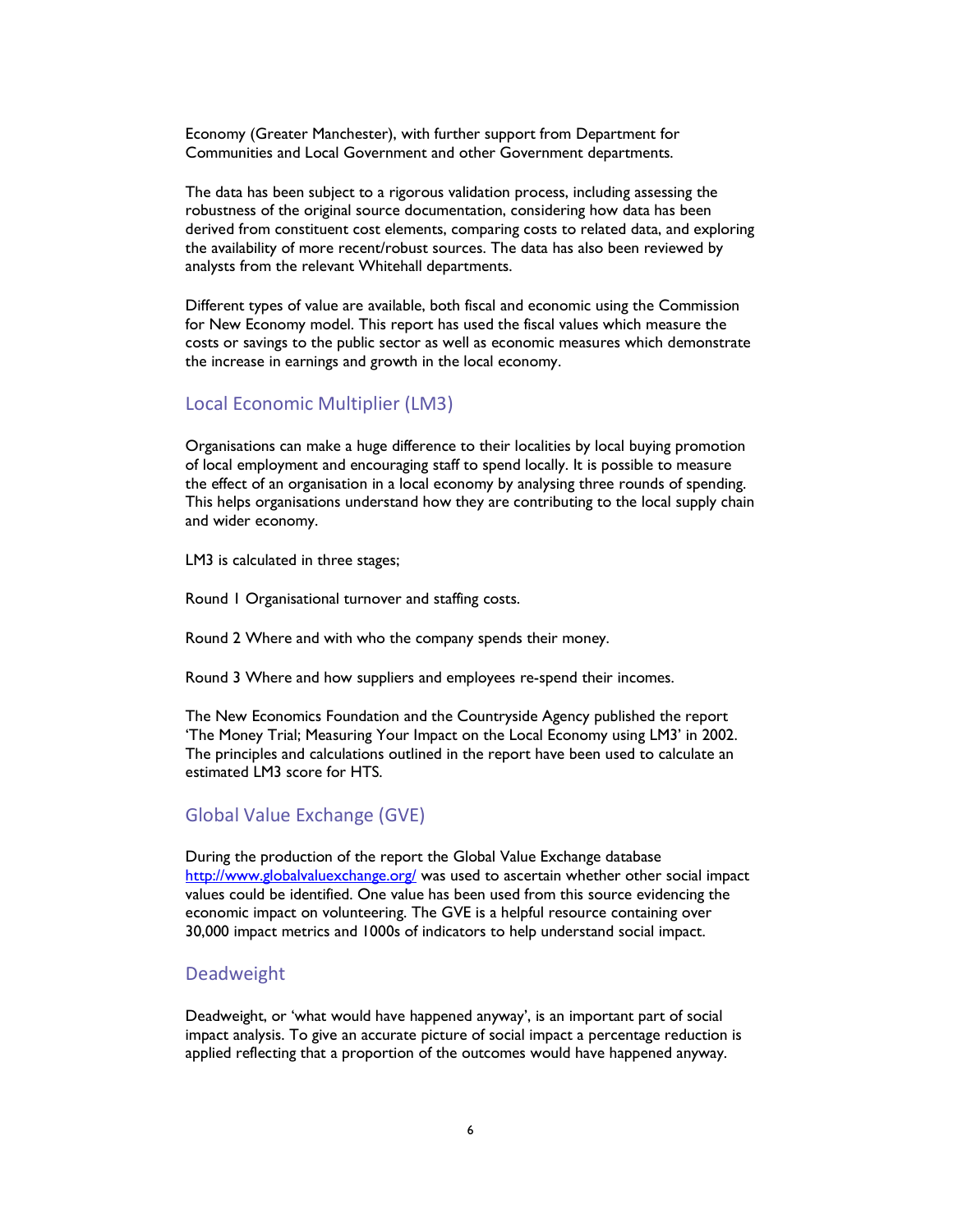Economy (Greater Manchester), with further support from Department for Communities and Local Government and other Government departments.

The data has been subject to a rigorous validation process, including assessing the robustness of the original source documentation, considering how data has been derived from constituent cost elements, comparing costs to related data, and exploring the availability of more recent/robust sources. The data has also been reviewed by analysts from the relevant Whitehall departments.

Different types of value are available, both fiscal and economic using the Commission for New Economy model. This report has used the fiscal values which measure the costs or savings to the public sector as well as economic measures which demonstrate the increase in earnings and growth in the local economy.

#### Local Economic Multiplier (LM3)

Organisations can make a huge difference to their localities by local buying promotion of local employment and encouraging staff to spend locally. It is possible to measure the effect of an organisation in a local economy by analysing three rounds of spending. This helps organisations understand how they are contributing to the local supply chain and wider economy.

LM3 is calculated in three stages;

Round 1 Organisational turnover and staffing costs.

Round 2 Where and with who the company spends their money.

Round 3 Where and how suppliers and employees re-spend their incomes.

The New Economics Foundation and the Countryside Agency published the report 'The Money Trial; Measuring Your Impact on the Local Economy using LM3' in 2002. The principles and calculations outlined in the report have been used to calculate an estimated LM3 score for HTS.

#### Global Value Exchange (GVE)

During the production of the report the Global Value Exchange database http://www.globalvaluexchange.org/ was used to ascertain whether other social impact values could be identified. One value has been used from this source evidencing the economic impact on volunteering. The GVE is a helpful resource containing over 30,000 impact metrics and 1000s of indicators to help understand social impact.

#### Deadweight

Deadweight, or 'what would have happened anyway', is an important part of social impact analysis. To give an accurate picture of social impact a percentage reduction is applied reflecting that a proportion of the outcomes would have happened anyway.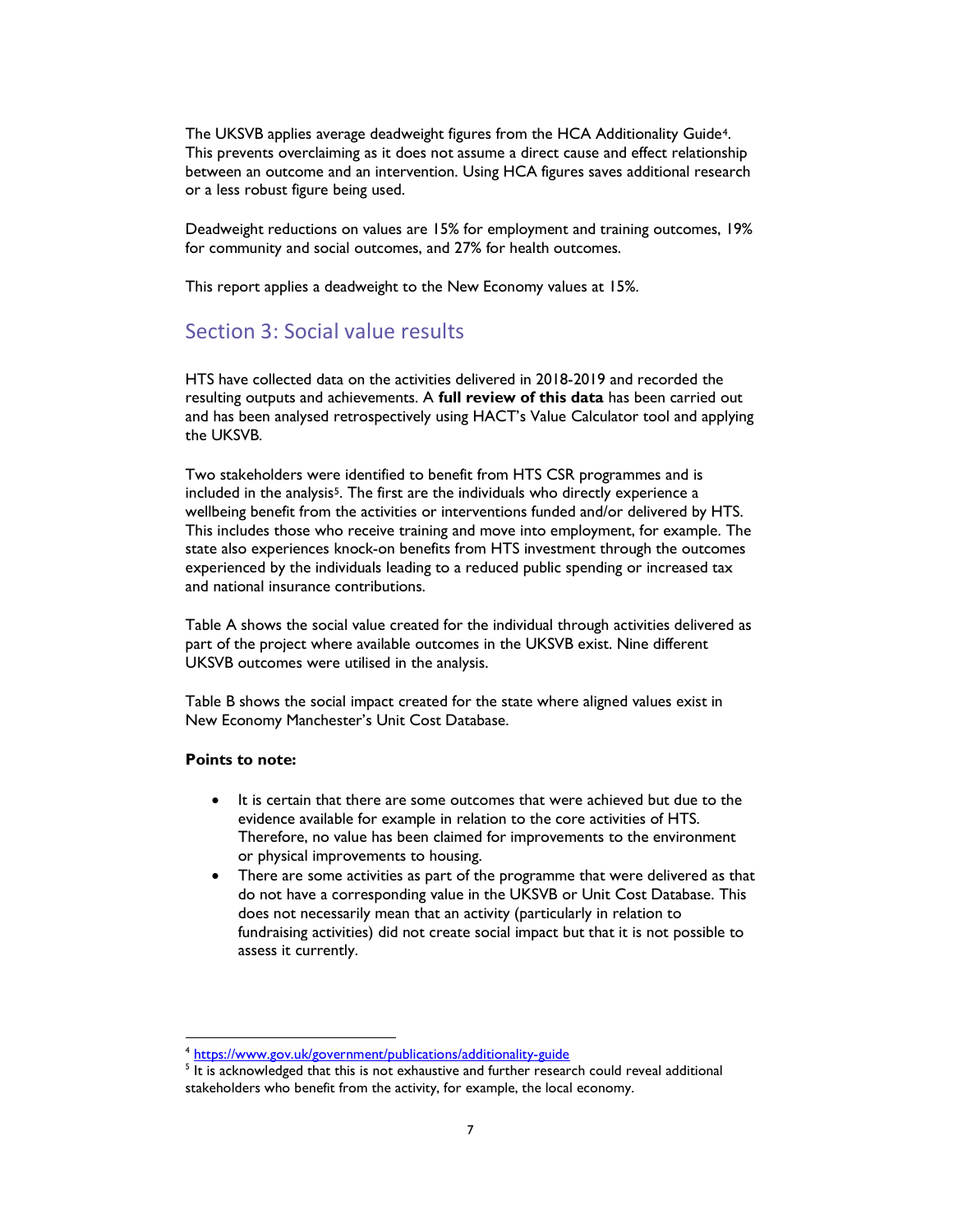The UKSVB applies average deadweight figures from the HCA Additionality Guide4. This prevents overclaiming as it does not assume a direct cause and effect relationship between an outcome and an intervention. Using HCA figures saves additional research or a less robust figure being used.

Deadweight reductions on values are 15% for employment and training outcomes, 19% for community and social outcomes, and 27% for health outcomes.

This report applies a deadweight to the New Economy values at 15%.

# Section 3: Social value results

HTS have collected data on the activities delivered in 2018-2019 and recorded the resulting outputs and achievements. A full review of this data has been carried out and has been analysed retrospectively using HACT's Value Calculator tool and applying the UKSVB.

Two stakeholders were identified to benefit from HTS CSR programmes and is included in the analysis<sup>5</sup>. The first are the individuals who directly experience a wellbeing benefit from the activities or interventions funded and/or delivered by HTS. This includes those who receive training and move into employment, for example. The state also experiences knock-on benefits from HTS investment through the outcomes experienced by the individuals leading to a reduced public spending or increased tax and national insurance contributions.

Table A shows the social value created for the individual through activities delivered as part of the project where available outcomes in the UKSVB exist. Nine different UKSVB outcomes were utilised in the analysis.

Table B shows the social impact created for the state where aligned values exist in New Economy Manchester's Unit Cost Database.

#### Points to note:

-

- It is certain that there are some outcomes that were achieved but due to the evidence available for example in relation to the core activities of HTS. Therefore, no value has been claimed for improvements to the environment or physical improvements to housing.
- There are some activities as part of the programme that were delivered as that do not have a corresponding value in the UKSVB or Unit Cost Database. This does not necessarily mean that an activity (particularly in relation to fundraising activities) did not create social impact but that it is not possible to assess it currently.

<sup>4</sup> https://www.gov.uk/government/publications/additionality-guide

<sup>&</sup>lt;sup>5</sup> It is acknowledged that this is not exhaustive and further research could reveal additional stakeholders who benefit from the activity, for example, the local economy.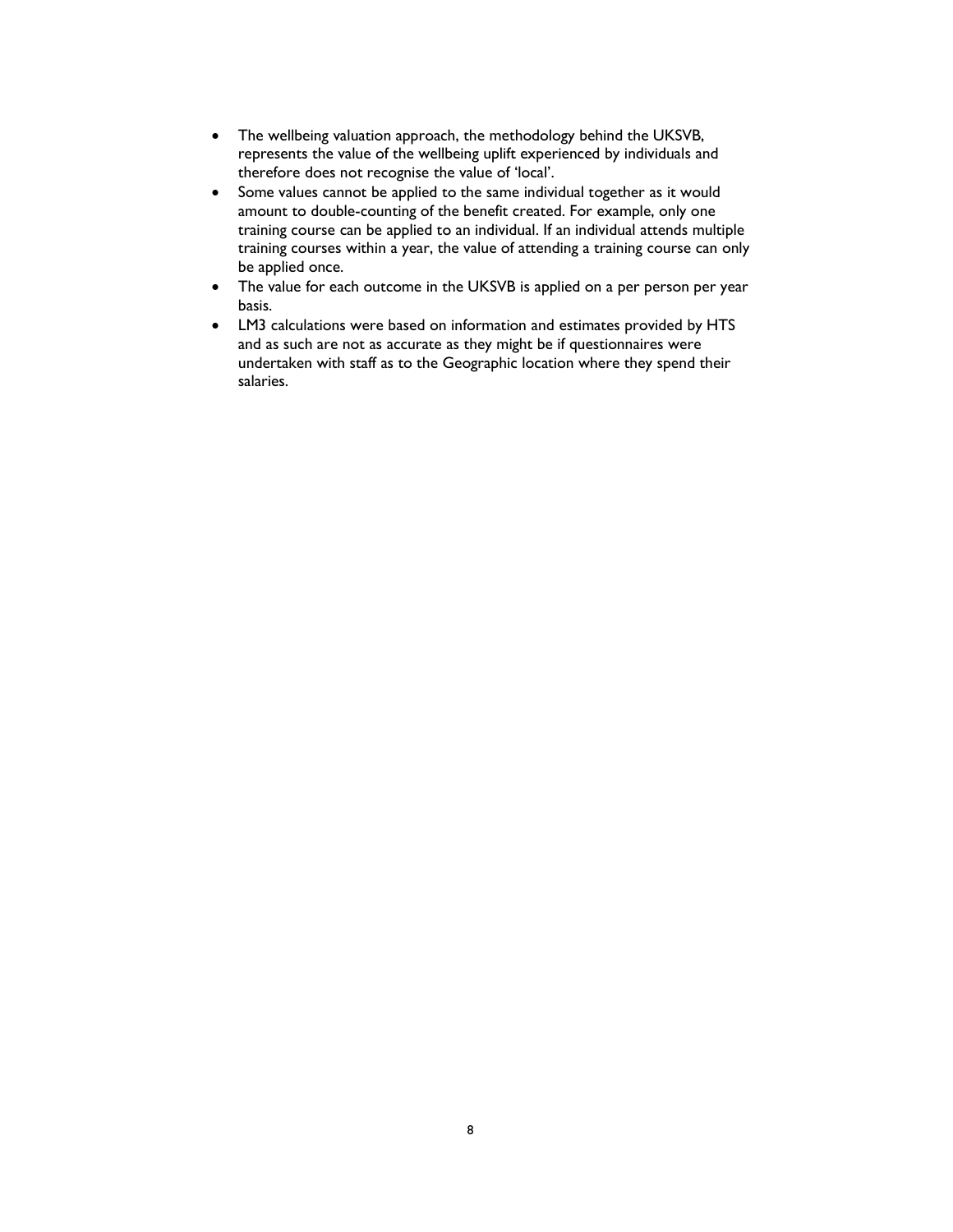- The wellbeing valuation approach, the methodology behind the UKSVB, represents the value of the wellbeing uplift experienced by individuals and therefore does not recognise the value of 'local'.
- Some values cannot be applied to the same individual together as it would amount to double-counting of the benefit created. For example, only one training course can be applied to an individual. If an individual attends multiple training courses within a year, the value of attending a training course can only be applied once.
- The value for each outcome in the UKSVB is applied on a per person per year basis.
- LM3 calculations were based on information and estimates provided by HTS and as such are not as accurate as they might be if questionnaires were undertaken with staff as to the Geographic location where they spend their salaries.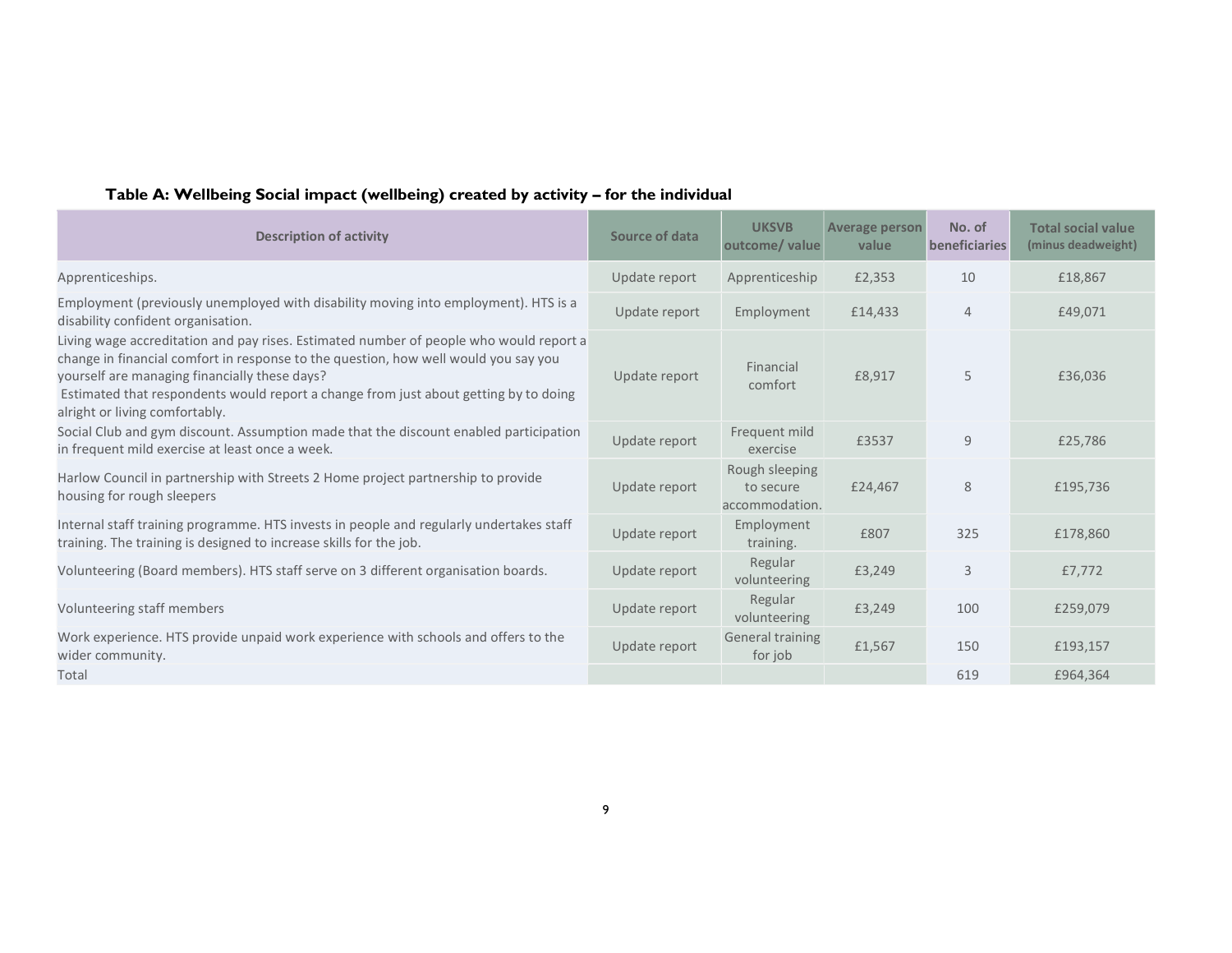| Table A: Wellbeing Social impact (wellbeing) created by activity - for the individual |  |
|---------------------------------------------------------------------------------------|--|
|---------------------------------------------------------------------------------------|--|

| <b>Description of activity</b>                                                                                                                                                                                                                                                                                                                           | Source of data | <b>UKSVB</b><br>outcome/value                 | <b>Average person</b><br>value | No. of<br>beneficiaries | <b>Total social value</b><br>(minus deadweight) |
|----------------------------------------------------------------------------------------------------------------------------------------------------------------------------------------------------------------------------------------------------------------------------------------------------------------------------------------------------------|----------------|-----------------------------------------------|--------------------------------|-------------------------|-------------------------------------------------|
| Apprenticeships.                                                                                                                                                                                                                                                                                                                                         | Update report  | Apprenticeship                                | £2,353                         | 10                      | £18,867                                         |
| Employment (previously unemployed with disability moving into employment). HTS is a<br>disability confident organisation.                                                                                                                                                                                                                                | Update report  | Employment                                    | £14,433                        | $\overline{4}$          | £49,071                                         |
| Living wage accreditation and pay rises. Estimated number of people who would report a<br>change in financial comfort in response to the question, how well would you say you<br>yourself are managing financially these days?<br>Estimated that respondents would report a change from just about getting by to doing<br>alright or living comfortably. | Update report  | Financial<br>comfort                          | £8,917                         | 5                       | £36,036                                         |
| Social Club and gym discount. Assumption made that the discount enabled participation<br>in frequent mild exercise at least once a week.                                                                                                                                                                                                                 | Update report  | Frequent mild<br>exercise                     | £3537                          | 9                       | £25,786                                         |
| Harlow Council in partnership with Streets 2 Home project partnership to provide<br>housing for rough sleepers                                                                                                                                                                                                                                           | Update report  | Rough sleeping<br>to secure<br>accommodation. | £24,467                        | 8                       | £195,736                                        |
| Internal staff training programme. HTS invests in people and regularly undertakes staff<br>training. The training is designed to increase skills for the job.                                                                                                                                                                                            | Update report  | Employment<br>training.                       | £807                           | 325                     | £178,860                                        |
| Volunteering (Board members). HTS staff serve on 3 different organisation boards.                                                                                                                                                                                                                                                                        | Update report  | Regular<br>volunteering                       | £3,249                         | 3                       | £7,772                                          |
| Volunteering staff members                                                                                                                                                                                                                                                                                                                               | Update report  | Regular<br>volunteering                       | £3,249                         | 100                     | £259,079                                        |
| Work experience. HTS provide unpaid work experience with schools and offers to the<br>wider community.                                                                                                                                                                                                                                                   | Update report  | <b>General training</b><br>for job            | £1,567                         | 150                     | £193,157                                        |
| Total                                                                                                                                                                                                                                                                                                                                                    |                |                                               |                                | 619                     | £964,364                                        |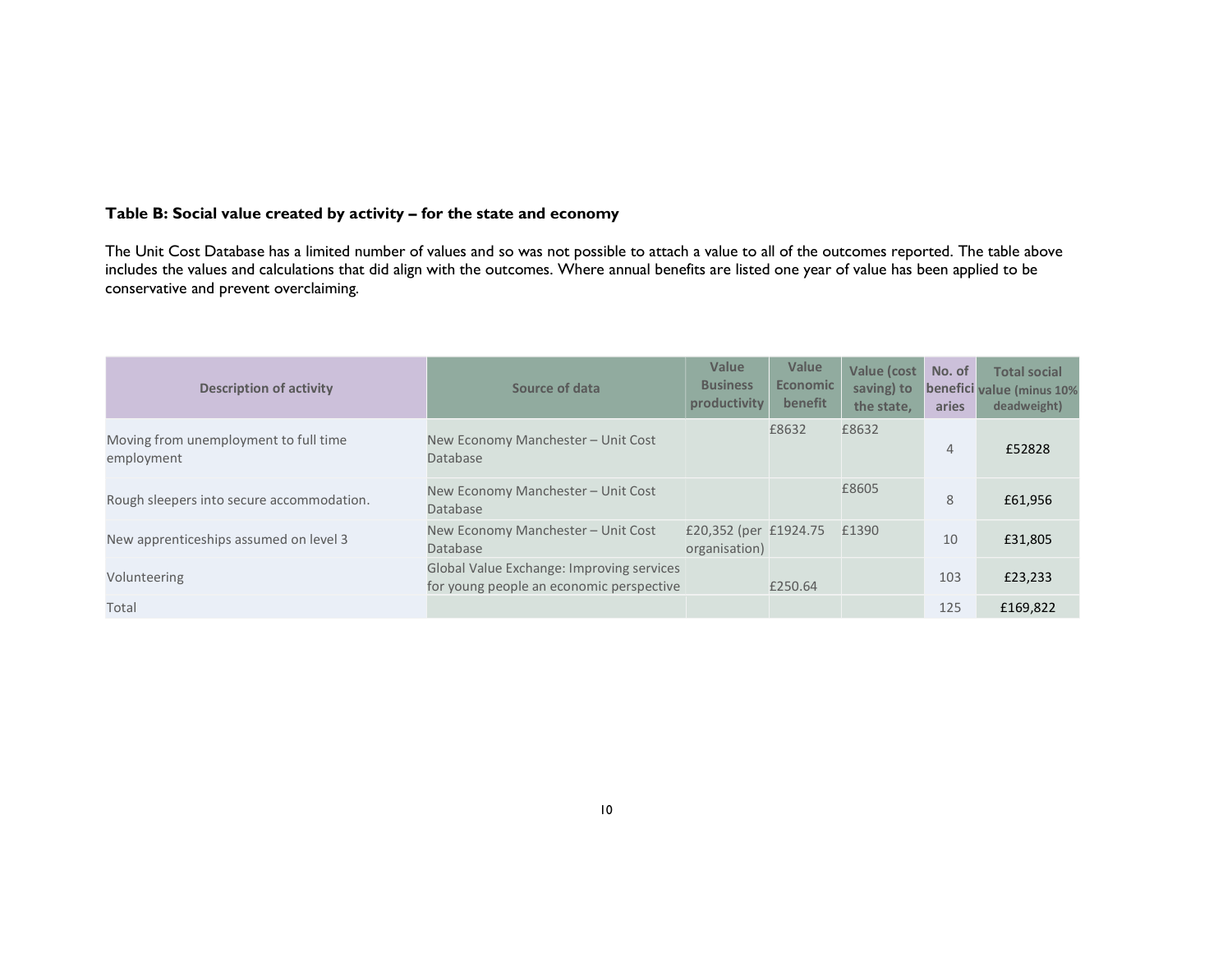#### Table B: Social value created by activity – for the state and economy

The Unit Cost Database has a limited number of values and so was not possible to attach a value to all of the outcomes reported. The table above includes the values and calculations that did align with the outcomes. Where annual benefits are listed one year of value has been applied to be conservative and prevent overclaiming.

| <b>Description of activity</b>                      | Source of data                                                                        | Value<br><b>Business</b><br>productivity | Value<br><b>Economic</b><br>benefit | Value (cost<br>saving) to<br>the state. | No. of<br>aries | <b>Total social</b><br>benefici value (minus 10%<br>deadweight) |
|-----------------------------------------------------|---------------------------------------------------------------------------------------|------------------------------------------|-------------------------------------|-----------------------------------------|-----------------|-----------------------------------------------------------------|
| Moving from unemployment to full time<br>employment | New Economy Manchester - Unit Cost<br>Database                                        |                                          | £8632                               | £8632                                   | $\overline{4}$  | £52828                                                          |
| Rough sleepers into secure accommodation.           | New Economy Manchester - Unit Cost<br>Database                                        |                                          |                                     | £8605                                   | 8               | £61,956                                                         |
| New apprenticeships assumed on level 3              | New Economy Manchester - Unit Cost<br>Database                                        | £20,352 (per £1924.75<br>organisation)   |                                     | £1390                                   | 10              | £31,805                                                         |
| Volunteering                                        | Global Value Exchange: Improving services<br>for young people an economic perspective |                                          | £250.64                             |                                         | 103             | £23,233                                                         |
| Total                                               |                                                                                       |                                          |                                     |                                         | 125             | £169,822                                                        |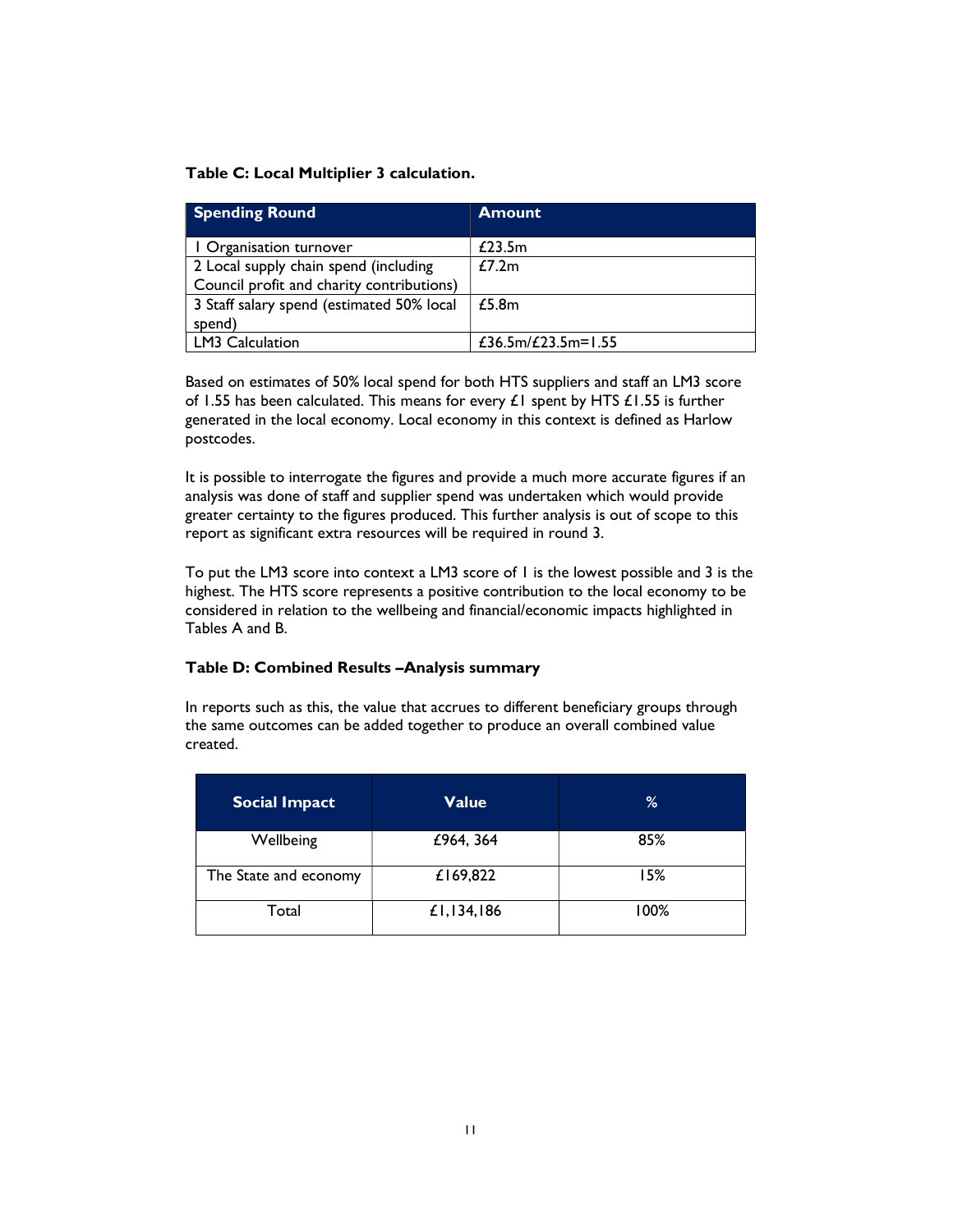#### Table C: Local Multiplier 3 calculation.

| <b>Spending Round</b>                     | <b>Amount</b>      |
|-------------------------------------------|--------------------|
| I Organisation turnover                   | £23.5 $m$          |
| 2 Local supply chain spend (including     | f7.2m              |
| Council profit and charity contributions) |                    |
| 3 Staff salary spend (estimated 50% local | £5.8m              |
| spend)                                    |                    |
| LM3 Calculation                           | £36.5m/£23.5m=1.55 |

Based on estimates of 50% local spend for both HTS suppliers and staff an LM3 score of 1.55 has been calculated. This means for every  $\pounds1$  spent by HTS  $\pounds1.55$  is further generated in the local economy. Local economy in this context is defined as Harlow postcodes.

It is possible to interrogate the figures and provide a much more accurate figures if an analysis was done of staff and supplier spend was undertaken which would provide greater certainty to the figures produced. This further analysis is out of scope to this report as significant extra resources will be required in round 3.

To put the LM3 score into context a LM3 score of 1 is the lowest possible and 3 is the highest. The HTS score represents a positive contribution to the local economy to be considered in relation to the wellbeing and financial/economic impacts highlighted in Tables A and B.

#### Table D: Combined Results –Analysis summary

In reports such as this, the value that accrues to different beneficiary groups through the same outcomes can be added together to produce an overall combined value created.

| <b>Social Impact</b>  | Value      | %    |
|-----------------------|------------|------|
| Wellbeing             | £964, 364  | 85%  |
| The State and economy | £169,822   | 15%  |
| Total                 | £1,134,186 | 100% |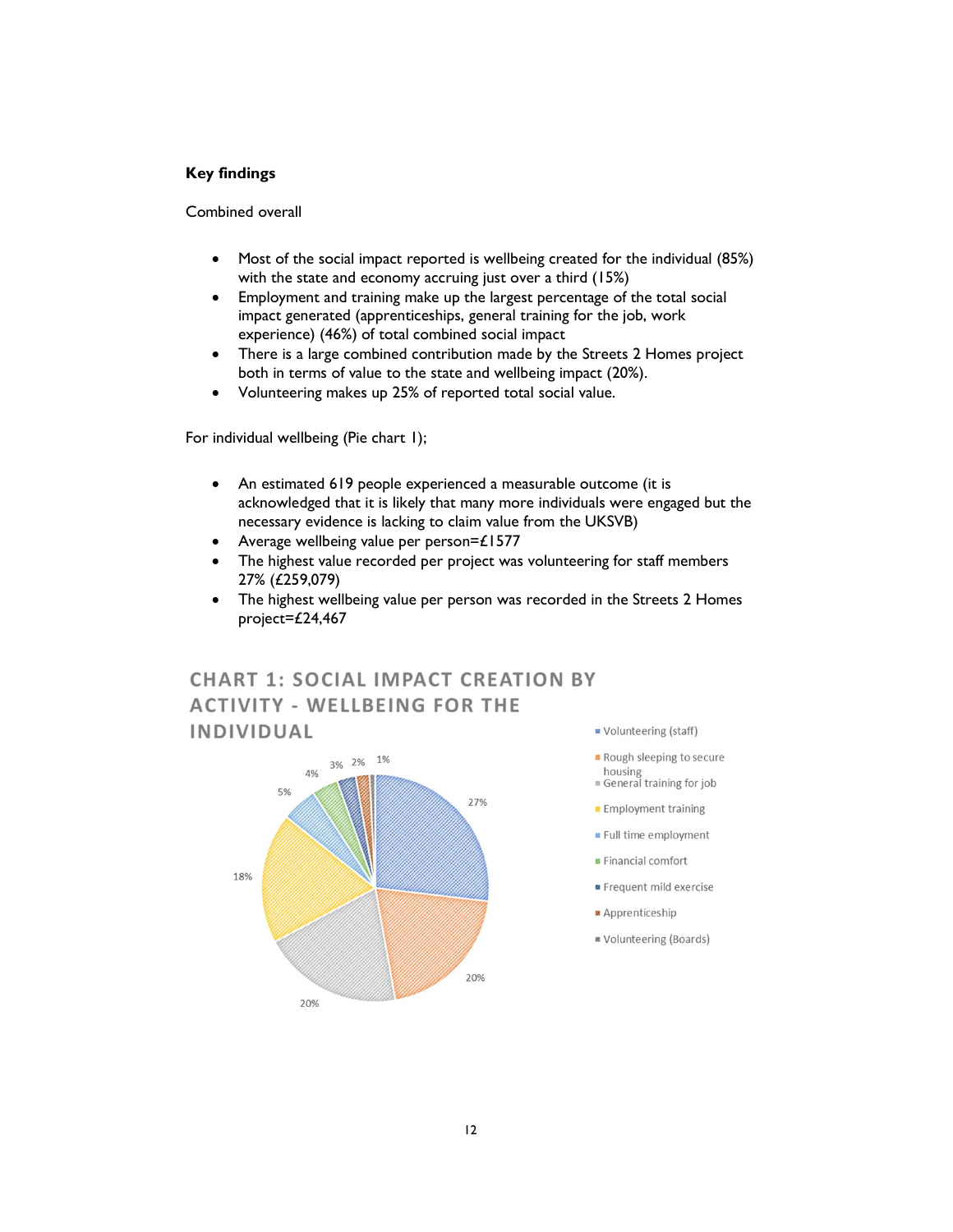#### Key findings

Combined overall

- Most of the social impact reported is wellbeing created for the individual (85%) with the state and economy accruing just over a third (15%)
- Employment and training make up the largest percentage of the total social impact generated (apprenticeships, general training for the job, work experience) (46%) of total combined social impact
- There is a large combined contribution made by the Streets 2 Homes project both in terms of value to the state and wellbeing impact (20%).
- Volunteering makes up 25% of reported total social value.

For individual wellbeing (Pie chart 1);

- An estimated 619 people experienced a measurable outcome (it is acknowledged that it is likely that many more individuals were engaged but the necessary evidence is lacking to claim value from the UKSVB)
- Average wellbeing value per person=£1577
- The highest value recorded per project was volunteering for staff members 27% (£259,079)
- The highest wellbeing value per person was recorded in the Streets 2 Homes project=£24,467

# **CHART 1: SOCIAL IMPACT CREATION BY ACTIVITY - WELLBEING FOR THE INDIVIDUAL**



- Volunteering (staff)
- **B** Rough sleeping to secure housing
- General training for job
- **Employment training**
- Full time employment
- Financial comfort
- Frequent mild exercise
- Apprenticeship
- **M** Volunteering (Boards)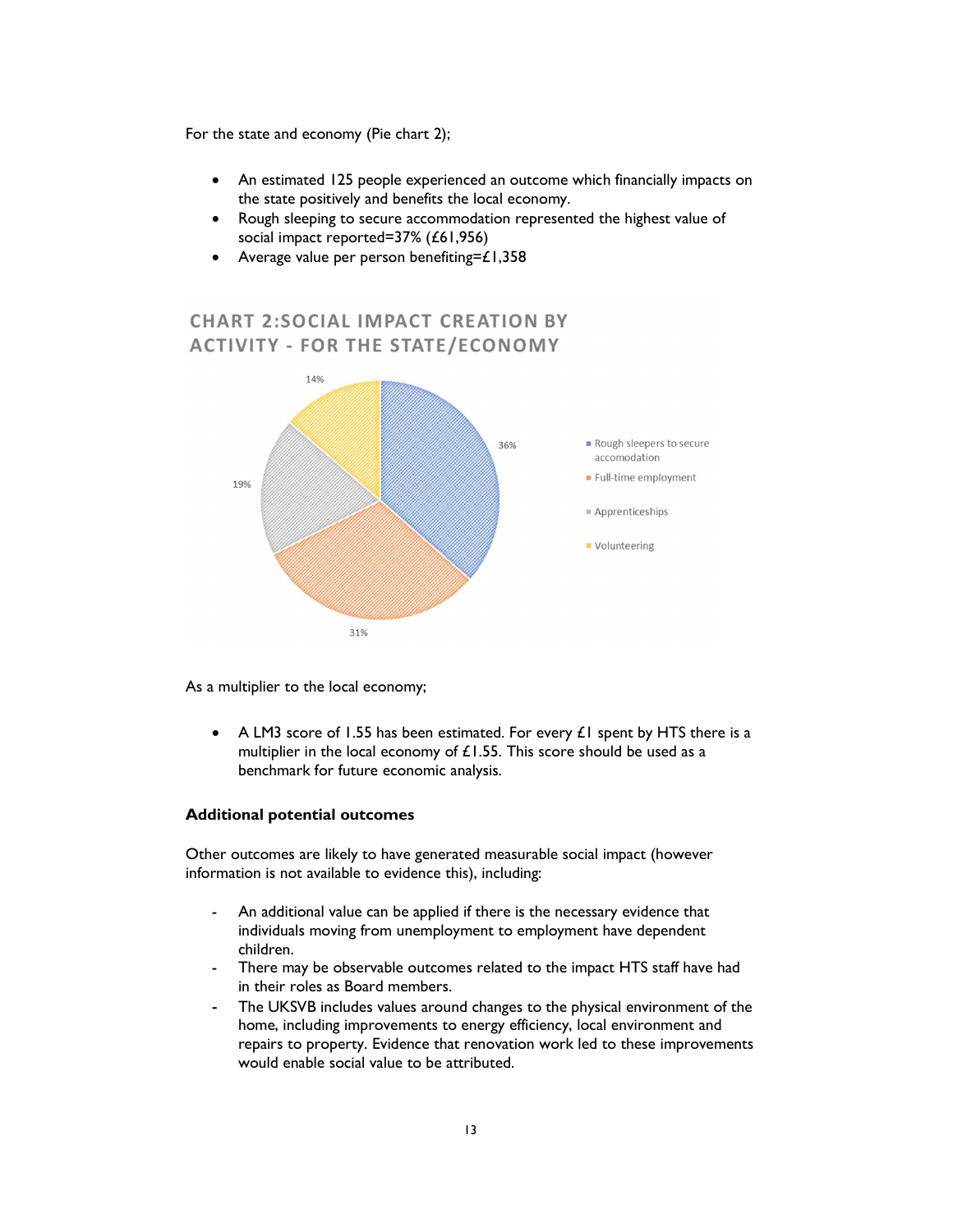For the state and economy (Pie chart 2);

- An estimated 125 people experienced an outcome which financially impacts on the state positively and benefits the local economy.
- Rough sleeping to secure accommodation represented the highest value of social impact reported=37% (£61,956)
- Average value per person benefiting= $£1,358$

# **CHART 2:SOCIAL IMPACT CREATION BY ACTIVITY - FOR THE STATE/ECONOMY**



As a multiplier to the local economy;

• A LM3 score of 1.55 has been estimated. For every  $\pounds 1$  spent by HTS there is a multiplier in the local economy of  $£1.55$ . This score should be used as a benchmark for future economic analysis.

#### Additional potential outcomes

Other outcomes are likely to have generated measurable social impact (however information is not available to evidence this), including:

- An additional value can be applied if there is the necessary evidence that individuals moving from unemployment to employment have dependent children.
- There may be observable outcomes related to the impact HTS staff have had in their roles as Board members.
- The UKSVB includes values around changes to the physical environment of the home, including improvements to energy efficiency, local environment and repairs to property. Evidence that renovation work led to these improvements would enable social value to be attributed.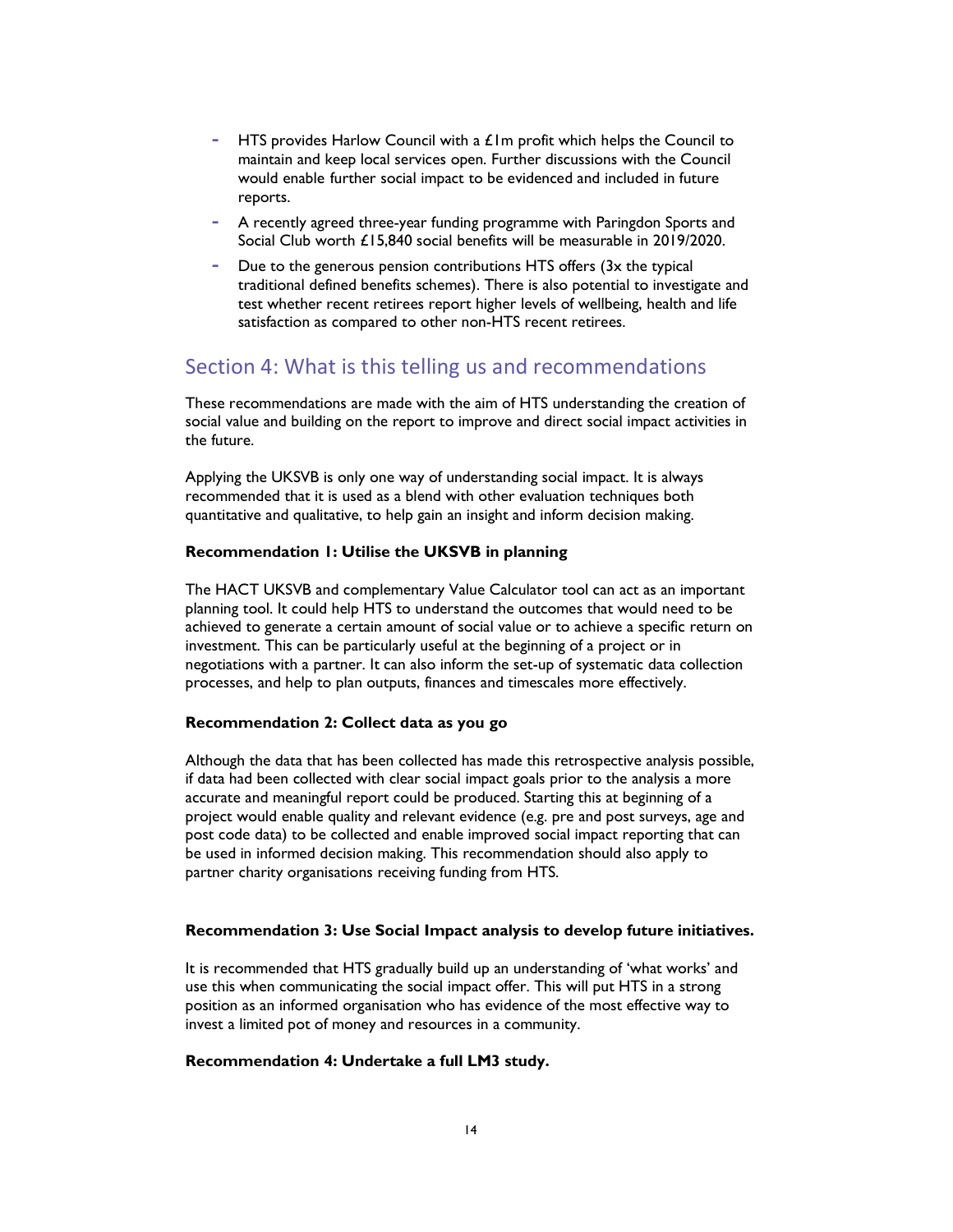- HTS provides Harlow Council with a  $£1m$  profit which helps the Council to maintain and keep local services open. Further discussions with the Council would enable further social impact to be evidenced and included in future reports.
- A recently agreed three-year funding programme with Paringdon Sports and Social Club worth £15,840 social benefits will be measurable in 2019/2020.
- Due to the generous pension contributions HTS offers (3x the typical traditional defined benefits schemes). There is also potential to investigate and test whether recent retirees report higher levels of wellbeing, health and life satisfaction as compared to other non-HTS recent retirees.

# Section 4: What is this telling us and recommendations

These recommendations are made with the aim of HTS understanding the creation of social value and building on the report to improve and direct social impact activities in the future.

Applying the UKSVB is only one way of understanding social impact. It is always recommended that it is used as a blend with other evaluation techniques both quantitative and qualitative, to help gain an insight and inform decision making.

#### Recommendation 1: Utilise the UKSVB in planning

The HACT UKSVB and complementary Value Calculator tool can act as an important planning tool. It could help HTS to understand the outcomes that would need to be achieved to generate a certain amount of social value or to achieve a specific return on investment. This can be particularly useful at the beginning of a project or in negotiations with a partner. It can also inform the set-up of systematic data collection processes, and help to plan outputs, finances and timescales more effectively.

#### Recommendation 2: Collect data as you go

Although the data that has been collected has made this retrospective analysis possible, if data had been collected with clear social impact goals prior to the analysis a more accurate and meaningful report could be produced. Starting this at beginning of a project would enable quality and relevant evidence (e.g. pre and post surveys, age and post code data) to be collected and enable improved social impact reporting that can be used in informed decision making. This recommendation should also apply to partner charity organisations receiving funding from HTS.

#### Recommendation 3: Use Social Impact analysis to develop future initiatives.

It is recommended that HTS gradually build up an understanding of 'what works' and use this when communicating the social impact offer. This will put HTS in a strong position as an informed organisation who has evidence of the most effective way to invest a limited pot of money and resources in a community.

#### Recommendation 4: Undertake a full LM3 study.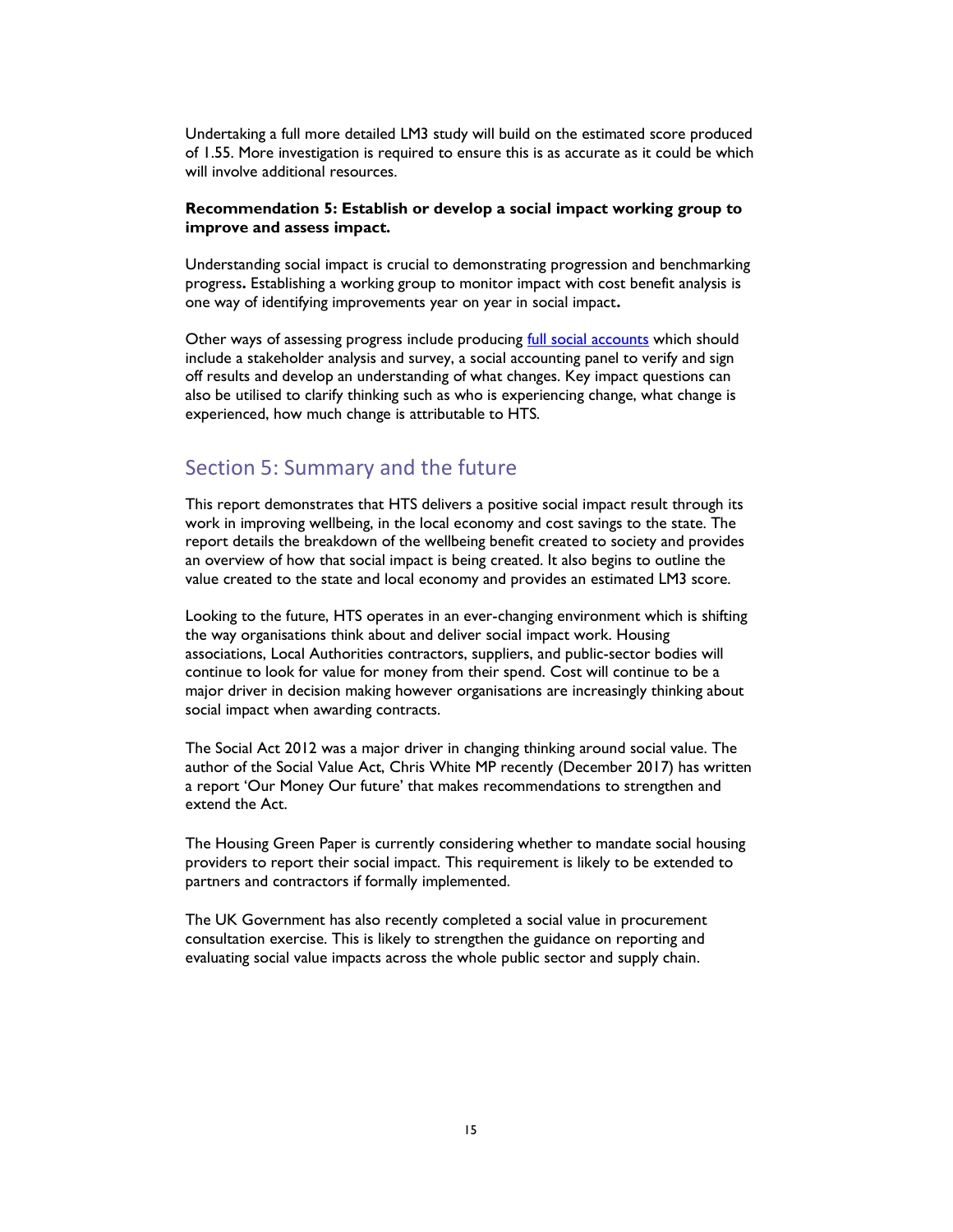Undertaking a full more detailed LM3 study will build on the estimated score produced of 1.55. More investigation is required to ensure this is as accurate as it could be which will involve additional resources.

#### Recommendation 5: Establish or develop a social impact working group to improve and assess impact.

Understanding social impact is crucial to demonstrating progression and benchmarking progress. Establishing a working group to monitor impact with cost benefit analysis is one way of identifying improvements year on year in social impact.

Other ways of assessing progress include producing **full social accounts** which should include a stakeholder analysis and survey, a social accounting panel to verify and sign off results and develop an understanding of what changes. Key impact questions can also be utilised to clarify thinking such as who is experiencing change, what change is experienced, how much change is attributable to HTS.

# Section 5: Summary and the future

This report demonstrates that HTS delivers a positive social impact result through its work in improving wellbeing, in the local economy and cost savings to the state. The report details the breakdown of the wellbeing benefit created to society and provides an overview of how that social impact is being created. It also begins to outline the value created to the state and local economy and provides an estimated LM3 score.

Looking to the future, HTS operates in an ever-changing environment which is shifting the way organisations think about and deliver social impact work. Housing associations, Local Authorities contractors, suppliers, and public-sector bodies will continue to look for value for money from their spend. Cost will continue to be a major driver in decision making however organisations are increasingly thinking about social impact when awarding contracts.

The Social Act 2012 was a major driver in changing thinking around social value. The author of the Social Value Act, Chris White MP recently (December 2017) has written a report 'Our Money Our future' that makes recommendations to strengthen and extend the Act.

The Housing Green Paper is currently considering whether to mandate social housing providers to report their social impact. This requirement is likely to be extended to partners and contractors if formally implemented.

The UK Government has also recently completed a social value in procurement consultation exercise. This is likely to strengthen the guidance on reporting and evaluating social value impacts across the whole public sector and supply chain.